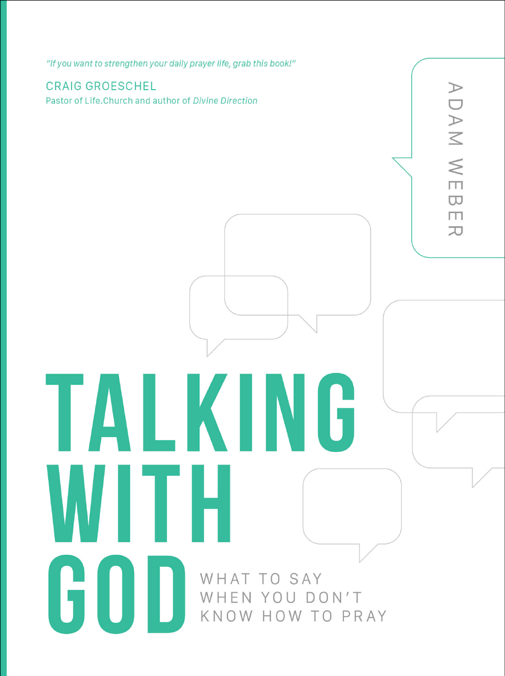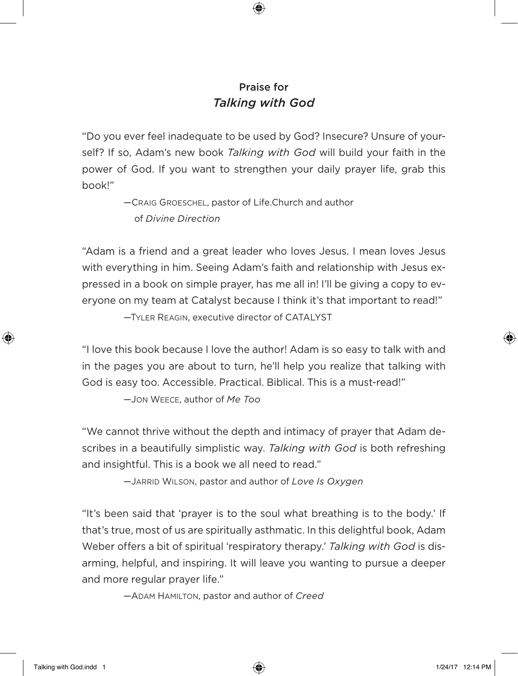### Praise for *Talking with God*

"Do you ever feel inadequate to be used by God? Insecure? Unsure of yourself? If so, Adam's new book *Talking with God* will build your faith in the power of God. If you want to strengthen your daily prayer life, grab this book!"

> —Craig Groeschel, pastor of Life.Church and author of *Divine Direction*

"Adam is a friend and a great leader who loves Jesus. I mean loves Jesus with everything in him. Seeing Adam's faith and relationship with Jesus expressed in a book on simple prayer, has me all in! I'll be giving a copy to everyone on my team at Catalyst because I think it's that important to read!" —Tyler Reagin, executive director of CATALYST

"I love this book because I love the author! Adam is so easy to talk with and in the pages you are about to turn, he'll help you realize that talking with God is easy too. Accessible. Practical. Biblical. This is a must-read!"

—Jon Weece, author of *Me Too*

"We cannot thrive without the depth and intimacy of prayer that Adam describes in a beautifully simplistic way. *Talking with God* is both refreshing and insightful. This is a book we all need to read."

—Jarrid Wilson, pastor and author of *Love Is Oxygen*

"It's been said that 'prayer is to the soul what breathing is to the body.' If that's true, most of us are spiritually asthmatic. In this delightful book, Adam Weber offers a bit of spiritual 'respiratory therapy.' *Talking with God* is disarming, helpful, and inspiring. It will leave you wanting to pursue a deeper and more regular prayer life."

—Adam Hamilton, pastor and author of *Creed*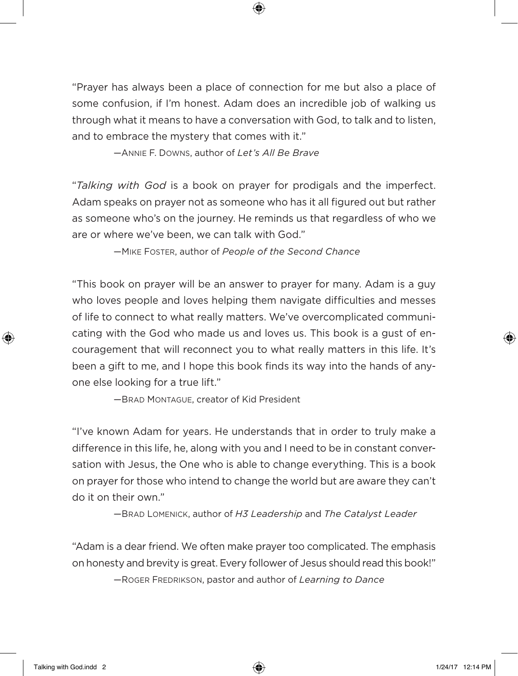"Prayer has always been a place of connection for me but also a place of some confusion, if I'm honest. Adam does an incredible job of walking us through what it means to have a conversation with God, to talk and to listen, and to embrace the mystery that comes with it."

—Annie F. Downs, author of *Let's All Be Brave*

"*Talking with God* is a book on prayer for prodigals and the imperfect. Adam speaks on prayer not as someone who has it all figured out but rather as someone who's on the journey. He reminds us that regardless of who we are or where we've been, we can talk with God."

—Mike Foster, author of *People of the Second Chance*

"This book on prayer will be an answer to prayer for many. Adam is a guy who loves people and loves helping them navigate difficulties and messes of life to connect to what really matters. We've overcomplicated communicating with the God who made us and loves us. This book is a gust of encouragement that will reconnect you to what really matters in this life. It's been a gift to me, and I hope this book finds its way into the hands of anyone else looking for a true lift."

—Brad Montague, creator of Kid President

"I've known Adam for years. He understands that in order to truly make a difference in this life, he, along with you and I need to be in constant conversation with Jesus, the One who is able to change everything. This is a book on prayer for those who intend to change the world but are aware they can't do it on their own."

—Brad Lomenick, author of *H3 Leadership* and *The Catalyst Leader*

"Adam is a dear friend. We often make prayer too complicated. The emphasis on honesty and brevity is great. Every follower of Jesus should read this book!"

—Roger Fredrikson, pastor and author of *Learning to Dance*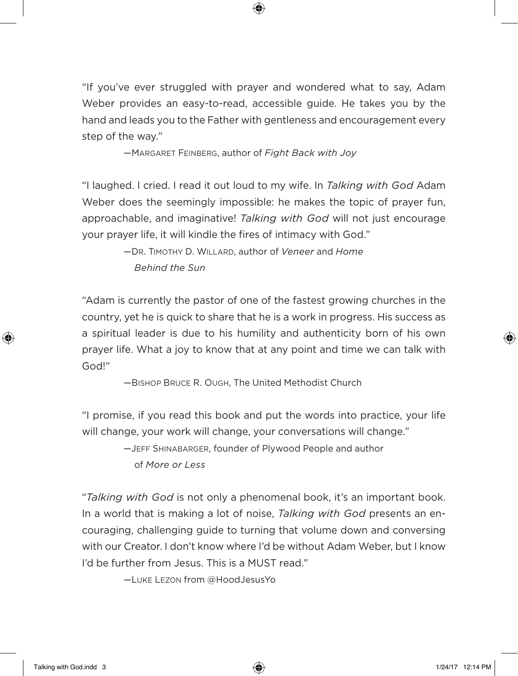"If you've ever struggled with prayer and wondered what to say, Adam Weber provides an easy-to-read, accessible guide. He takes you by the hand and leads you to the Father with gentleness and encouragement every step of the way."

—Margaret Feinberg, author of *Fight Back with Joy*

"I laughed. I cried. I read it out loud to my wife. In *Talking with God* Adam Weber does the seemingly impossible: he makes the topic of prayer fun, approachable, and imaginative! *Talking with God* will not just encourage your prayer life, it will kindle the fires of intimacy with God."

> —Dr. Timothy D. Willard, author of *Veneer* and *Home Behind the Sun*

"Adam is currently the pastor of one of the fastest growing churches in the country, yet he is quick to share that he is a work in progress. His success as a spiritual leader is due to his humility and authenticity born of his own prayer life. What a joy to know that at any point and time we can talk with God!"

—Bishop Bruce R. Ough, The United Methodist Church

"I promise, if you read this book and put the words into practice, your life will change, your work will change, your conversations will change."

> —Jeff Shinabarger, founder of Plywood People and author of *More or Less*

"*Talking with God* is not only a phenomenal book, it's an important book. In a world that is making a lot of noise, *Talking with God* presents an encouraging, challenging guide to turning that volume down and conversing with our Creator. I don't know where I'd be without Adam Weber, but I know I'd be further from Jesus. This is a MUST read."

—Luke Lezon from @HoodJesusYo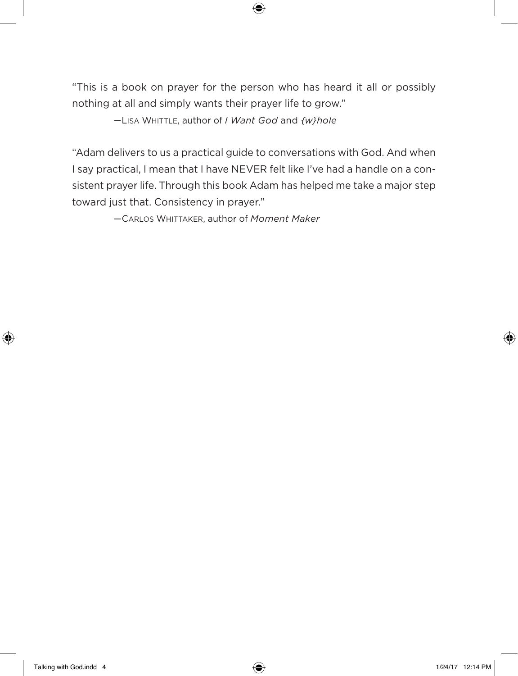"This is a book on prayer for the person who has heard it all or possibly nothing at all and simply wants their prayer life to grow."

—Lisa Whittle, author of *I Want God* and *{w}hole*

"Adam delivers to us a practical guide to conversations with God. And when I say practical, I mean that I have NEVER felt like I've had a handle on a consistent prayer life. Through this book Adam has helped me take a major step toward just that. Consistency in prayer."

—Carlos Whittaker, author of *Moment Maker*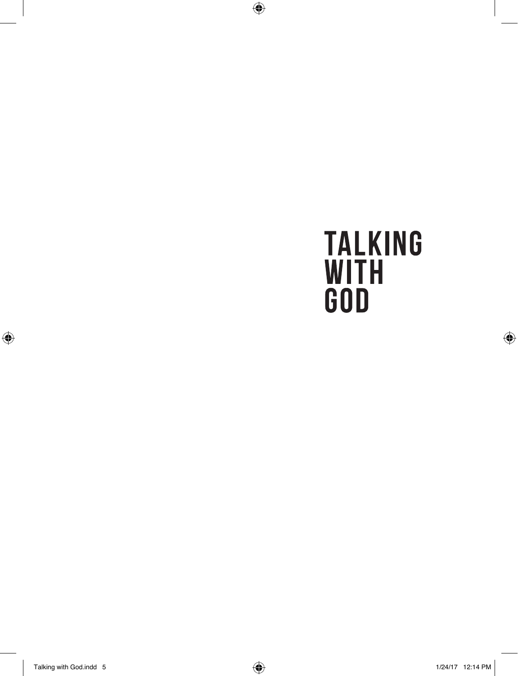# TALKING<br>WITH<br>GOD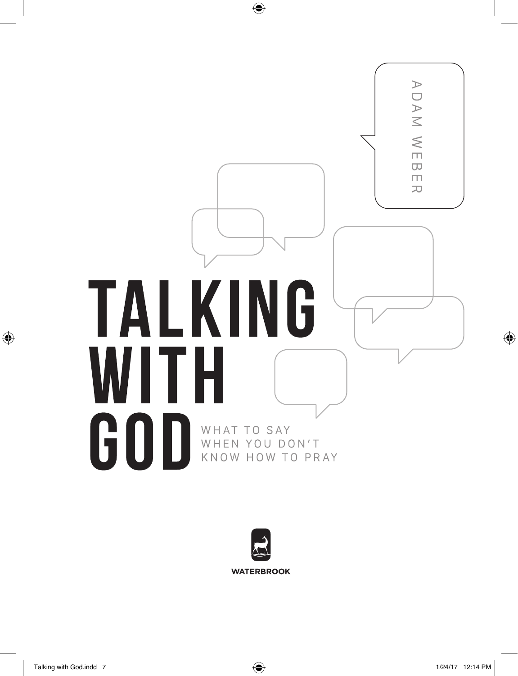

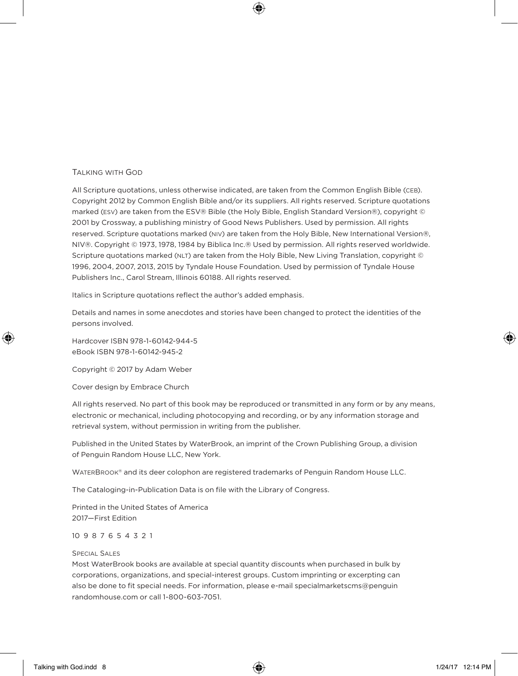#### Talking with God

All Scripture quotations, unless otherwise indicated, are taken from the Common English Bible (ceb). Copyright 2012 by Common English Bible and/or its suppliers. All rights reserved. Scripture quotations marked (esv) are taken from the ESV® Bible (the Holy Bible, English Standard Version®), copyright © 2001 by Crossway, a publishing ministry of Good News Publishers. Used by permission. All rights reserved. Scripture quotations marked (niv) are taken from the Holy Bible, New International Version®, NIV®. Copyright © 1973, 1978, 1984 by Biblica Inc.® Used by permission. All rights reserved worldwide. Scripture quotations marked (NLT) are taken from the Holy Bible, New Living Translation, copyright © 1996, 2004, 2007, 2013, 2015 by Tyndale House Foundation. Used by permission of Tyndale House Publishers Inc., Carol Stream, Illinois 60188. All rights reserved.

Italics in Scripture quotations reflect the author's added emphasis.

Details and names in some anecdotes and stories have been changed to protect the identities of the persons involved.

Hardcover ISBN 978-1-60142-944-5 eBook ISBN 978-1-60142-945-2

Copyright © 2017 by Adam Weber

Cover design by Embrace Church

All rights reserved. No part of this book may be reproduced or transmitted in any form or by any means, electronic or mechanical, including photocopying and recording, or by any information storage and retrieval system, without permission in writing from the publisher.

Published in the United States by WaterBrook, an imprint of the Crown Publishing Group, a division of Penguin Random House LLC, New York.

WATERBROOK® and its deer colophon are registered trademarks of Penguin Random House LLC.

The Cataloging-in-Publication Data is on file with the Library of Congress.

Printed in the United States of America 2017—First Edition

#### 10 9 8 7 6 5 4 3 2 1

#### Special Sales

Most WaterBrook books are available at special quantity discounts when purchased in bulk by corporations, organizations, and special-interest groups. Custom imprinting or excerpting can also be done to fit special needs. For information, please e-mail specialmarketscms@penguin randomhouse.com or call 1-800-603-7051.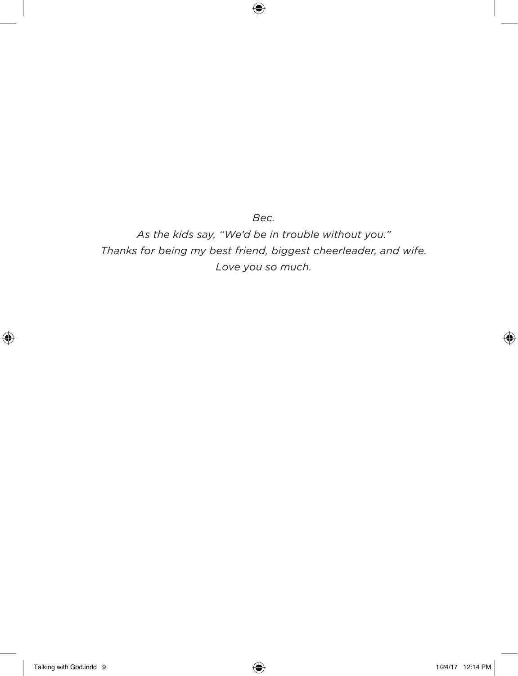*Bec.*

*As the kids say, "We'd be in trouble without you." Thanks for being my best friend, biggest cheerleader, and wife. Love you so much.*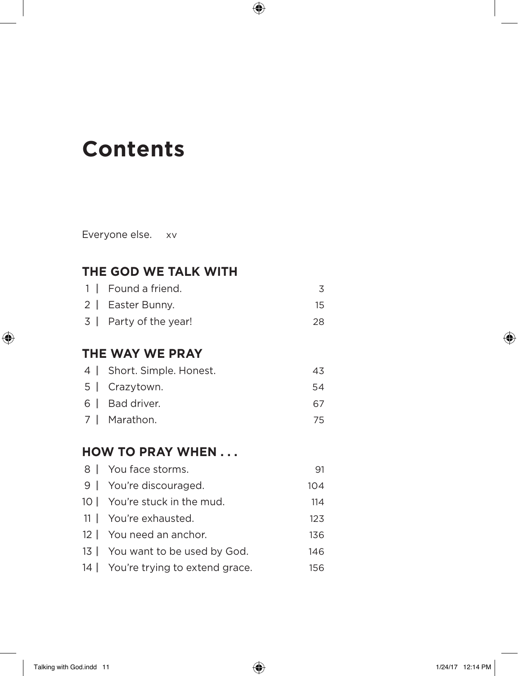## **Contents**

Everyone else. xv

## **THE GOD WE TALK WITH**

1 | Found a friend. 3 **|** Easter Bunny. 15 **|** Party of the year! 28

### **THE WAY WE PRAY**

| 4   Short. Simple. Honest. | 43. |
|----------------------------|-----|
| 5   Crazytown.             | 54  |
| 6   Bad driver.            | 67. |
| 7   Marathon.              | 75. |

### **HOW TO PRAY WHEN . . .**

| 8   You face storms.                | 91  |
|-------------------------------------|-----|
| 9   You're discouraged.             | 104 |
| 10 You're stuck in the mud.         | 114 |
| 11   You're exhausted.              | 123 |
| 12   You need an anchor.            | 136 |
| 13 You want to be used by God.      | 146 |
| 14   You're trying to extend grace. | 156 |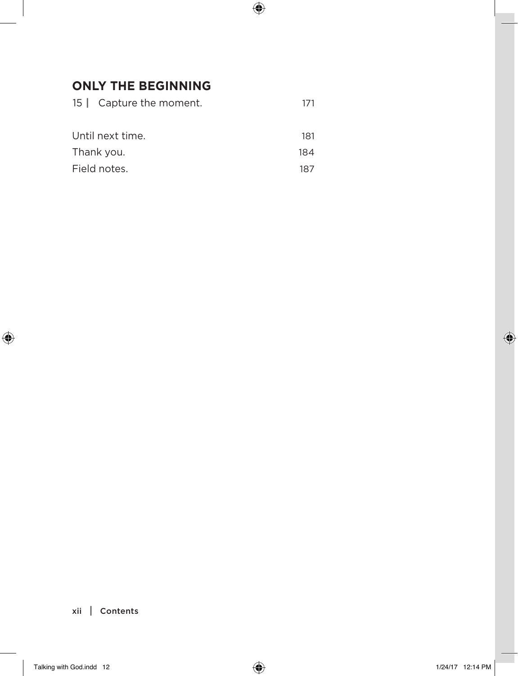### **ONLY THE BEGINNING**

|                  | 15   Capture the moment. | 171 |
|------------------|--------------------------|-----|
|                  |                          |     |
| Until next time. |                          | 181 |
| Thank you.       |                          | 184 |
| Field notes.     |                          | 187 |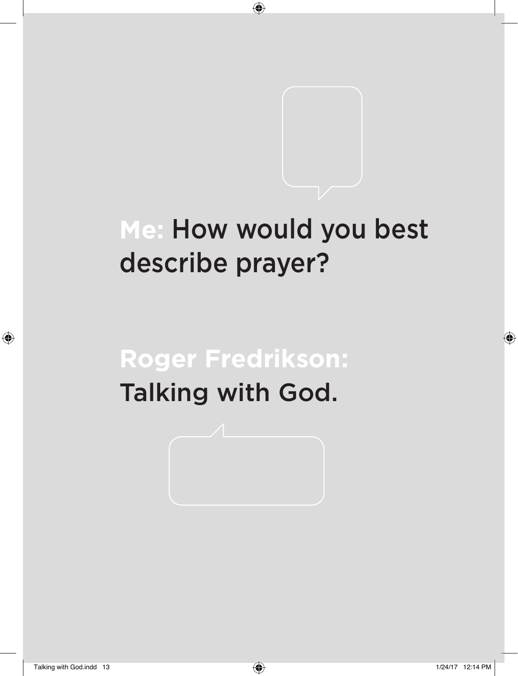# **Me:** How would you best describe prayer?

## **Roger Fredrikson:** Talking with God.

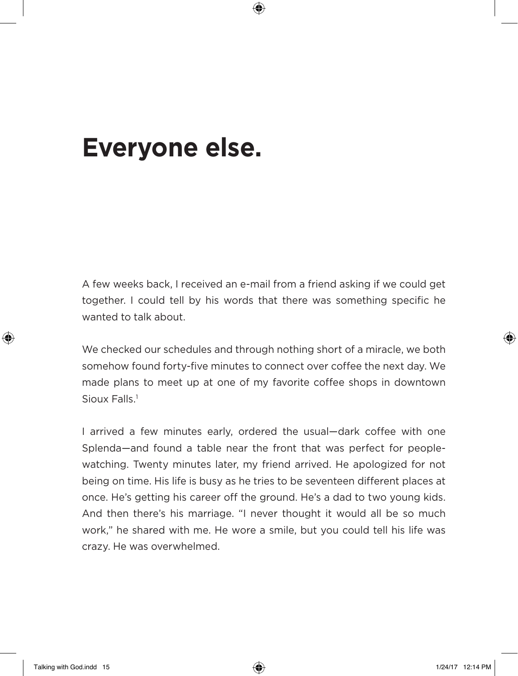## **Everyone else.**

A few weeks back, I received an e-mail from a friend asking if we could get together. I could tell by his words that there was something specific he wanted to talk about.

We checked our schedules and through nothing short of a miracle, we both somehow found forty-five minutes to connect over coffee the next day. We made plans to meet up at one of my favorite coffee shops in downtown Sioux Falls.1

I arrived a few minutes early, ordered the usual—dark coffee with one Splenda—and found a table near the front that was perfect for peoplewatching. Twenty minutes later, my friend arrived. He apologized for not being on time. His life is busy as he tries to be seventeen different places at once. He's getting his career off the ground. He's a dad to two young kids. And then there's his marriage. "I never thought it would all be so much work," he shared with me. He wore a smile, but you could tell his life was crazy. He was overwhelmed.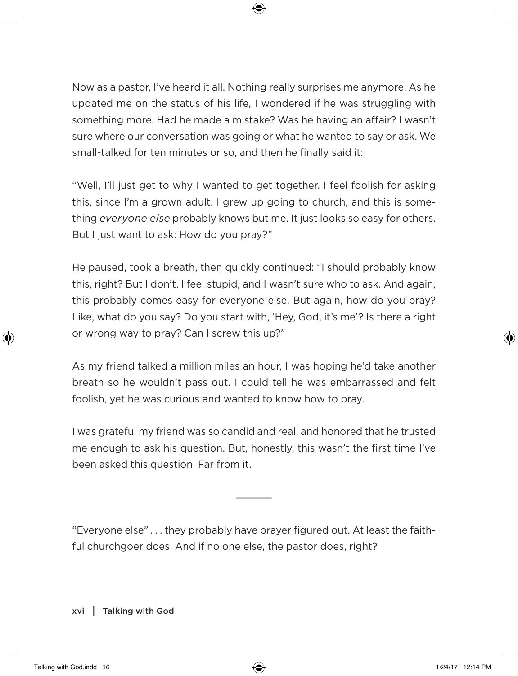Now as a pastor, I've heard it all. Nothing really surprises me anymore. As he updated me on the status of his life, I wondered if he was struggling with something more. Had he made a mistake? Was he having an affair? I wasn't sure where our conversation was going or what he wanted to say or ask. We small-talked for ten minutes or so, and then he finally said it:

"Well, I'll just get to why I wanted to get together. I feel foolish for asking this, since I'm a grown adult. I grew up going to church, and this is something *everyone else* probably knows but me. It just looks so easy for others. But I just want to ask: How do you pray?"

He paused, took a breath, then quickly continued: "I should probably know this, right? But I don't. I feel stupid, and I wasn't sure who to ask. And again, this probably comes easy for everyone else. But again, how do you pray? Like, what do you say? Do you start with, 'Hey, God, it's me'? Is there a right or wrong way to pray? Can I screw this up?"

As my friend talked a million miles an hour, I was hoping he'd take another breath so he wouldn't pass out. I could tell he was embarrassed and felt foolish, yet he was curious and wanted to know how to pray.

I was grateful my friend was so candid and real, and honored that he trusted me enough to ask his question. But, honestly, this wasn't the first time I've been asked this question. Far from it.  $\overline{\phantom{a}}$ 

"Everyone else" . . . they probably have prayer figured out. At least the faithful churchgoer does. And if no one else, the pastor does, right?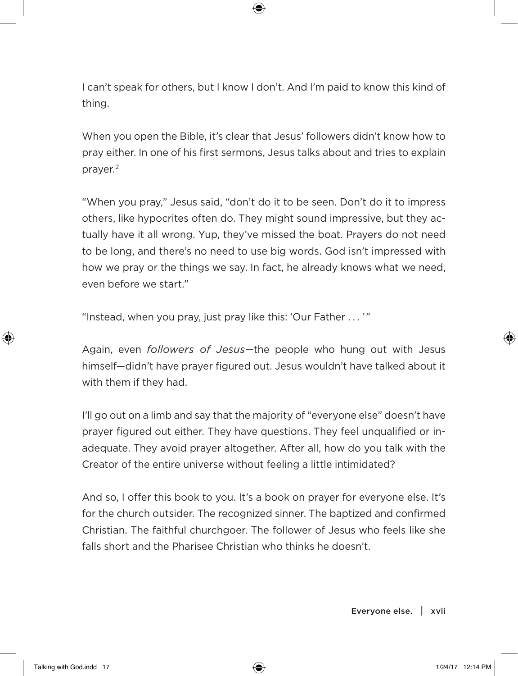I can't speak for others, but I know I don't. And I'm paid to know this kind of thing.

When you open the Bible, it's clear that Jesus' followers didn't know how to pray either. In one of his first sermons, Jesus talks about and tries to explain prayer.2

"When you pray," Jesus said, "don't do it to be seen. Don't do it to impress others, like hypocrites often do. They might sound impressive, but they actually have it all wrong. Yup, they've missed the boat. Prayers do not need to be long, and there's no need to use big words. God isn't impressed with how we pray or the things we say. In fact, he already knows what we need, even before we start."

"Instead, when you pray, just pray like this: 'Our Father . . . '"

Again, even *followers of Jesus*—the people who hung out with Jesus himself—didn't have prayer figured out. Jesus wouldn't have talked about it with them if they had.

I'll go out on a limb and say that the majority of "everyone else" doesn't have prayer figured out either. They have questions. They feel unqualified or inadequate. They avoid prayer altogether. After all, how do you talk with the Creator of the entire universe without feeling a little intimidated?

And so, I offer this book to you. It's a book on prayer for everyone else. It's for the church outsider. The recognized sinner. The baptized and confirmed Christian. The faithful churchgoer. The follower of Jesus who feels like she falls short and the Pharisee Christian who thinks he doesn't.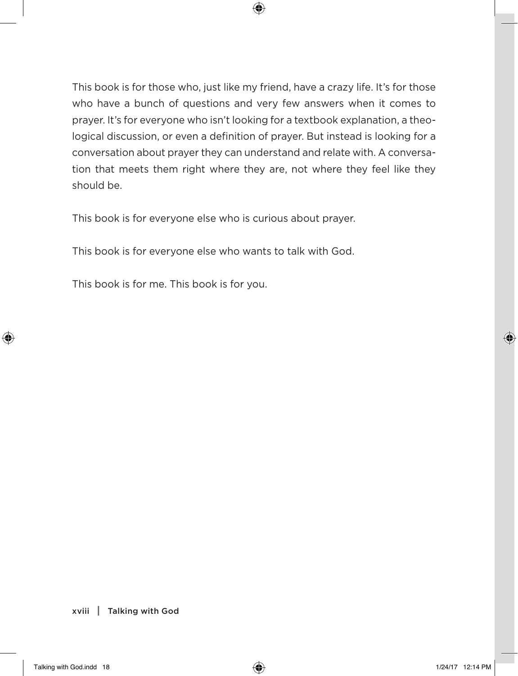This book is for those who, just like my friend, have a crazy life. It's for those who have a bunch of questions and very few answers when it comes to prayer. It's for everyone who isn't looking for a textbook explanation, a theological discussion, or even a definition of prayer. But instead is looking for a conversation about prayer they can understand and relate with. A conversation that meets them right where they are, not where they feel like they should be.

This book is for everyone else who is curious about prayer.

This book is for everyone else who wants to talk with God.

This book is for me. This book is for you.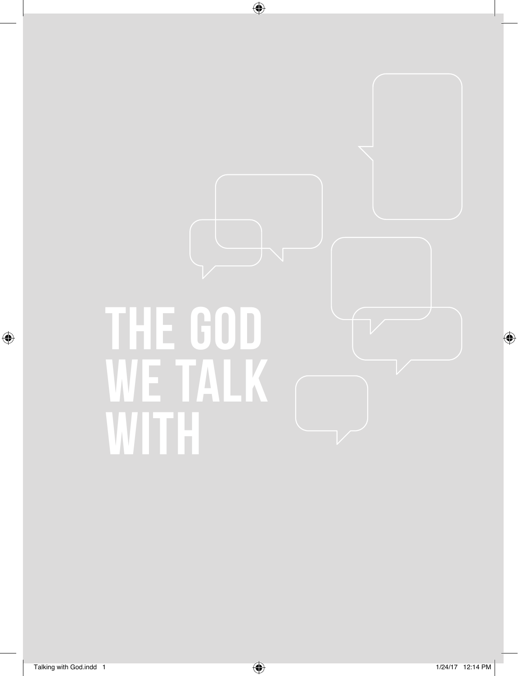# THE GOD WE TALK **WITH**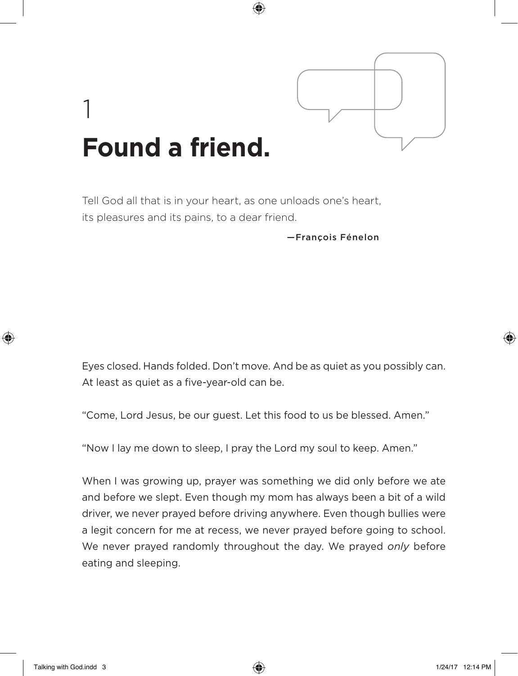

# **Found a friend.**

1

Tell God all that is in your heart, as one unloads one's heart, its pleasures and its pains, to a dear friend.

—François Fénelon

Eyes closed. Hands folded. Don't move. And be as quiet as you possibly can. At least as quiet as a five-year-old can be.

"Come, Lord Jesus, be our guest. Let this food to us be blessed. Amen."

"Now I lay me down to sleep, I pray the Lord my soul to keep. Amen."

When I was growing up, prayer was something we did only before we ate and before we slept. Even though my mom has always been a bit of a wild driver, we never prayed before driving anywhere. Even though bullies were a legit concern for me at recess, we never prayed before going to school. We never prayed randomly throughout the day. We prayed *only* before eating and sleeping.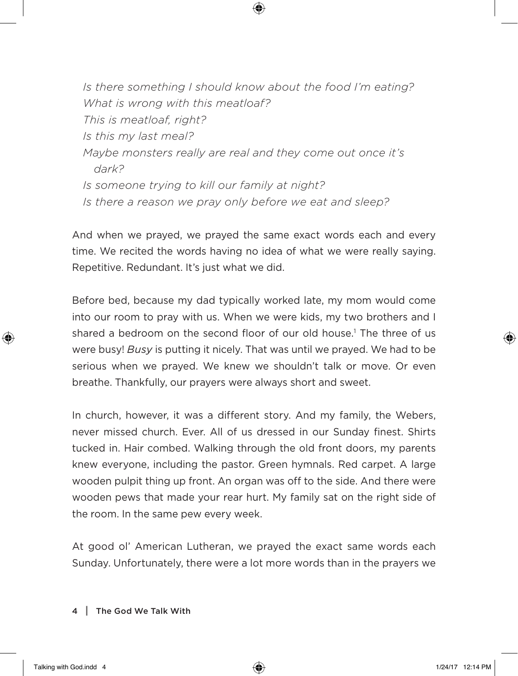*Is there something I should know about the food I'm eating? What is wrong with this meatloaf? This is meatloaf, right? Is this my last meal? Maybe monsters really are real and they come out once it's dark? Is someone trying to kill our family at night? Is there a reason we pray only before we eat and sleep?* 

And when we prayed, we prayed the same exact words each and every time. We recited the words having no idea of what we were really saying. Repetitive. Redundant. It's just what we did.

Before bed, because my dad typically worked late, my mom would come into our room to pray with us. When we were kids, my two brothers and I shared a bedroom on the second floor of our old house.<sup>1</sup> The three of us were busy! *Busy* is putting it nicely. That was until we prayed. We had to be serious when we prayed. We knew we shouldn't talk or move. Or even breathe. Thankfully, our prayers were always short and sweet.

In church, however, it was a different story. And my family, the Webers, never missed church. Ever. All of us dressed in our Sunday finest. Shirts tucked in. Hair combed. Walking through the old front doors, my parents knew everyone, including the pastor. Green hymnals. Red carpet. A large wooden pulpit thing up front. An organ was off to the side. And there were wooden pews that made your rear hurt. My family sat on the right side of the room. In the same pew every week.

At good ol' American Lutheran, we prayed the exact same words each Sunday. Unfortunately, there were a lot more words than in the prayers we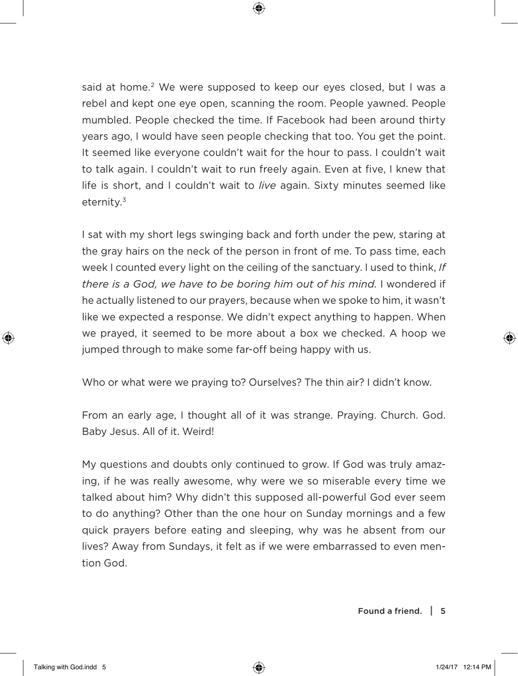said at home.<sup>2</sup> We were supposed to keep our eyes closed, but I was a rebel and kept one eye open, scanning the room. People yawned. People mumbled. People checked the time. If Facebook had been around thirty years ago, I would have seen people checking that too. You get the point. It seemed like everyone couldn't wait for the hour to pass. I couldn't wait to talk again. I couldn't wait to run freely again. Even at five, I knew that life is short, and I couldn't wait to *live* again. Sixty minutes seemed like eternity.<sup>3</sup>

I sat with my short legs swinging back and forth under the pew, staring at the gray hairs on the neck of the person in front of me. To pass time, each week I counted every light on the ceiling of the sanctuary. I used to think, *If there is a God, we have to be boring him out of his mind.* I wondered if he actually listened to our prayers, because when we spoke to him, it wasn't like we expected a response. We didn't expect anything to happen. When we prayed, it seemed to be more about a box we checked. A hoop we jumped through to make some far-off being happy with us.

Who or what were we praying to? Ourselves? The thin air? I didn't know.

From an early age, I thought all of it was strange. Praying. Church. God. Baby Jesus. All of it. Weird!

My questions and doubts only continued to grow. If God was truly amazing, if he was really awesome, why were we so miserable every time we talked about him? Why didn't this supposed all-powerful God ever seem to do anything? Other than the one hour on Sunday mornings and a few quick prayers before eating and sleeping, why was he absent from our lives? Away from Sundays, it felt as if we were embarrassed to even mention God.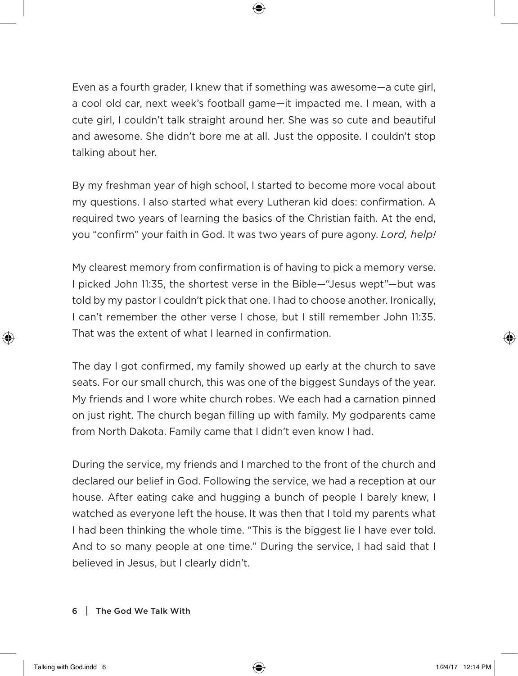Even as a fourth grader, I knew that if something was awesome—a cute girl, a cool old car, next week's football game—it impacted me. I mean, with a cute girl, I couldn't talk straight around her. She was so cute and beautiful and awesome. She didn't bore me at all. Just the opposite. I couldn't stop talking about her.

By my freshman year of high school, I started to become more vocal about my questions. I also started what every Lutheran kid does: confirmation. A required two years of learning the basics of the Christian faith. At the end, you "confirm" your faith in God. It was two years of pure agony. *Lord, help!*

My clearest memory from confirmation is of having to pick a memory verse. I picked John 11:35, the shortest verse in the Bible—"Jesus wept"—but was told by my pastor I couldn't pick that one. I had to choose another. Ironically, I can't remember the other verse I chose, but I still remember John 11:35. That was the extent of what I learned in confirmation.

The day I got confirmed, my family showed up early at the church to save seats. For our small church, this was one of the biggest Sundays of the year. My friends and I wore white church robes. We each had a carnation pinned on just right. The church began filling up with family. My godparents came from North Dakota. Family came that I didn't even know I had.

During the service, my friends and I marched to the front of the church and declared our belief in God. Following the service, we had a reception at our house. After eating cake and hugging a bunch of people I barely knew, I watched as everyone left the house. It was then that I told my parents what I had been thinking the whole time. "This is the biggest lie I have ever told. And to so many people at one time." During the service, I had said that I believed in Jesus, but I clearly didn't.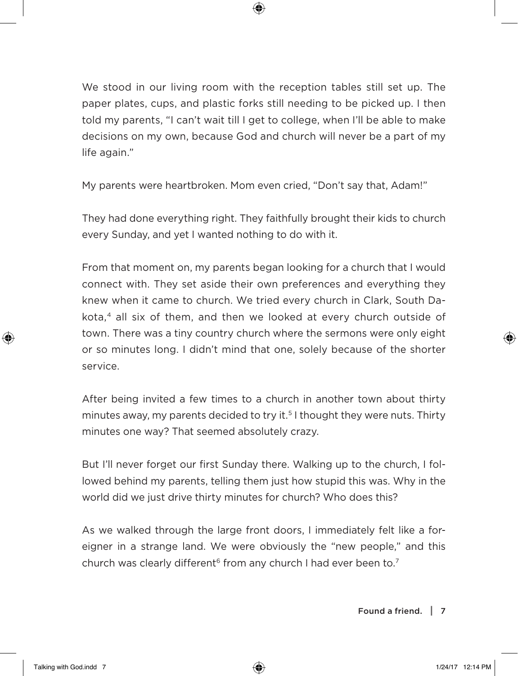We stood in our living room with the reception tables still set up. The paper plates, cups, and plastic forks still needing to be picked up. I then told my parents, "I can't wait till I get to college, when I'll be able to make decisions on my own, because God and church will never be a part of my life again."

My parents were heartbroken. Mom even cried, "Don't say that, Adam!"

They had done everything right. They faithfully brought their kids to church every Sunday, and yet I wanted nothing to do with it.

From that moment on, my parents began looking for a church that I would connect with. They set aside their own preferences and everything they knew when it came to church. We tried every church in Clark, South Dakota,4 all six of them, and then we looked at every church outside of town. There was a tiny country church where the sermons were only eight or so minutes long. I didn't mind that one, solely because of the shorter service.

After being invited a few times to a church in another town about thirty minutes away, my parents decided to try it.<sup>5</sup> I thought they were nuts. Thirty minutes one way? That seemed absolutely crazy.

But I'll never forget our first Sunday there. Walking up to the church, I followed behind my parents, telling them just how stupid this was. Why in the world did we just drive thirty minutes for church? Who does this?

As we walked through the large front doors, I immediately felt like a foreigner in a strange land. We were obviously the "new people," and this church was clearly different<sup>6</sup> from any church I had ever been to.<sup>7</sup>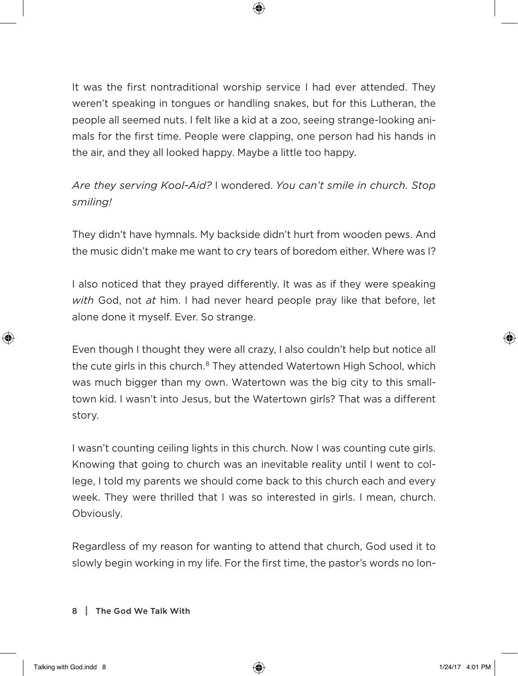It was the first nontraditional worship service I had ever attended. They weren't speaking in tongues or handling snakes, but for this Lutheran, the people all seemed nuts. I felt like a kid at a zoo, seeing strange-looking animals for the first time. People were clapping, one person had his hands in the air, and they all looked happy. Maybe a little too happy.

*Are they serving Kool-Aid?* I wondered. *You can't smile in church. Stop smiling!*

They didn't have hymnals. My backside didn't hurt from wooden pews. And the music didn't make me want to cry tears of boredom either. Where was I?

I also noticed that they prayed differently. It was as if they were speaking *with* God, not *at* him. I had never heard people pray like that before, let alone done it myself. Ever. So strange.

Even though I thought they were all crazy, I also couldn't help but notice all the cute girls in this church.8 They attended Watertown High School, which was much bigger than my own. Watertown was the big city to this smalltown kid. I wasn't into Jesus, but the Watertown girls? That was a different story.

I wasn't counting ceiling lights in this church. Now I was counting cute girls. Knowing that going to church was an inevitable reality until I went to college, I told my parents we should come back to this church each and every week. They were thrilled that I was so interested in girls. I mean, church. Obviously.

Regardless of my reason for wanting to attend that church, God used it to slowly begin working in my life. For the first time, the pastor's words no lon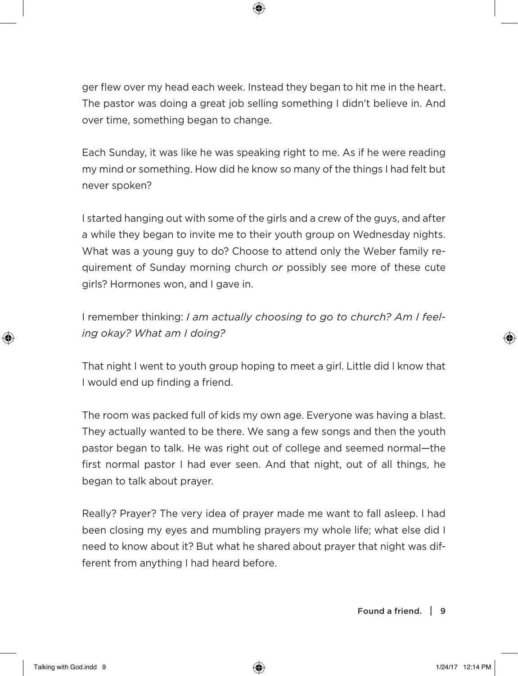ger flew over my head each week. Instead they began to hit me in the heart. The pastor was doing a great job selling something I didn't believe in. And over time, something began to change.

Each Sunday, it was like he was speaking right to me. As if he were reading my mind or something. How did he know so many of the things I had felt but never spoken?

I started hanging out with some of the girls and a crew of the guys, and after a while they began to invite me to their youth group on Wednesday nights. What was a young guy to do? Choose to attend only the Weber family requirement of Sunday morning church *or* possibly see more of these cute girls? Hormones won, and I gave in.

I remember thinking: *I am actually choosing to go to church? Am I feeling okay? What am I doing?*

That night I went to youth group hoping to meet a girl. Little did I know that I would end up finding a friend.

The room was packed full of kids my own age. Everyone was having a blast. They actually wanted to be there. We sang a few songs and then the youth pastor began to talk. He was right out of college and seemed normal—the first normal pastor I had ever seen. And that night, out of all things, he began to talk about prayer.

Really? Prayer? The very idea of prayer made me want to fall asleep. I had been closing my eyes and mumbling prayers my whole life; what else did I need to know about it? But what he shared about prayer that night was different from anything I had heard before.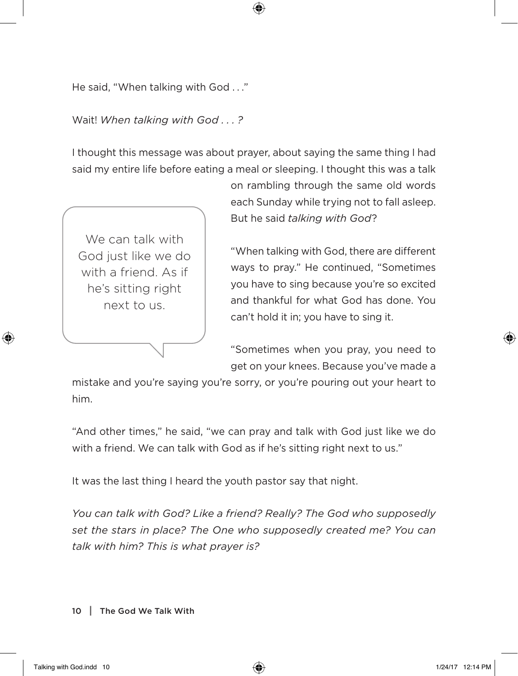He said, "When talking with God . . ."

Wait! *When talking with God . . . ?*

I thought this message was about prayer, about saying the same thing I had said my entire life before eating a meal or sleeping. I thought this was a talk

We can talk with God just like we do with a friend. As if he's sitting right next to us.

on rambling through the same old words each Sunday while trying not to fall asleep. But he said *talking with God*?

"When talking with God, there are different ways to pray." He continued, "Sometimes you have to sing because you're so excited and thankful for what God has done. You can't hold it in; you have to sing it.

"Sometimes when you pray, you need to get on your knees. Because you've made a

mistake and you're saying you're sorry, or you're pouring out your heart to him.

"And other times," he said, "we can pray and talk with God just like we do with a friend. We can talk with God as if he's sitting right next to us."

It was the last thing I heard the youth pastor say that night.

*You can talk with God? Like a friend? Really? The God who supposedly set the stars in place? The One who supposedly created me? You can talk with him? This is what prayer is?*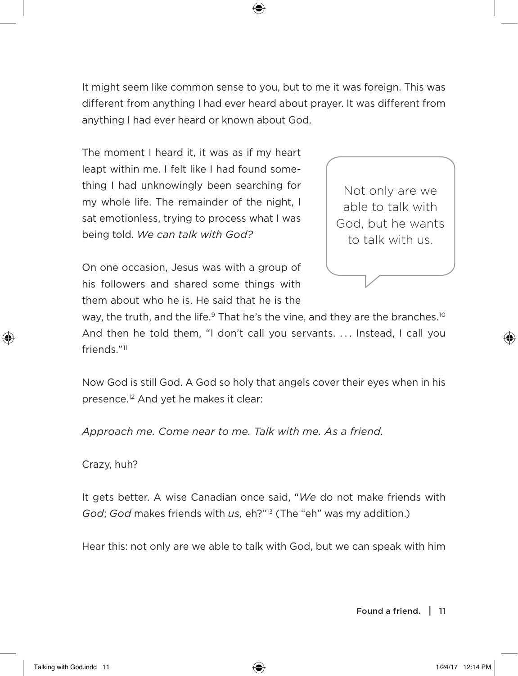It might seem like common sense to you, but to me it was foreign. This was different from anything I had ever heard about prayer. It was different from anything I had ever heard or known about God.

The moment I heard it, it was as if my heart leapt within me. I felt like I had found something I had unknowingly been searching for my whole life. The remainder of the night, I sat emotionless, trying to process what I was being told. *We can talk with God?*

On one occasion, Jesus was with a group of his followers and shared some things with them about who he is. He said that he is the



way, the truth, and the life.<sup>9</sup> That he's the vine, and they are the branches.<sup>10</sup> And then he told them, "I don't call you servants. . . . Instead, I call you friends."11

Now God is still God. A God so holy that angels cover their eyes when in his presence.12 And yet he makes it clear:

*Approach me. Come near to me. Talk with me. As a friend.*

Crazy, huh?

It gets better. A wise Canadian once said, "*We* do not make friends with *God*; *God* makes friends with *us,* eh?"13 (The "eh" was my addition.)

Hear this: not only are we able to talk with God, but we can speak with him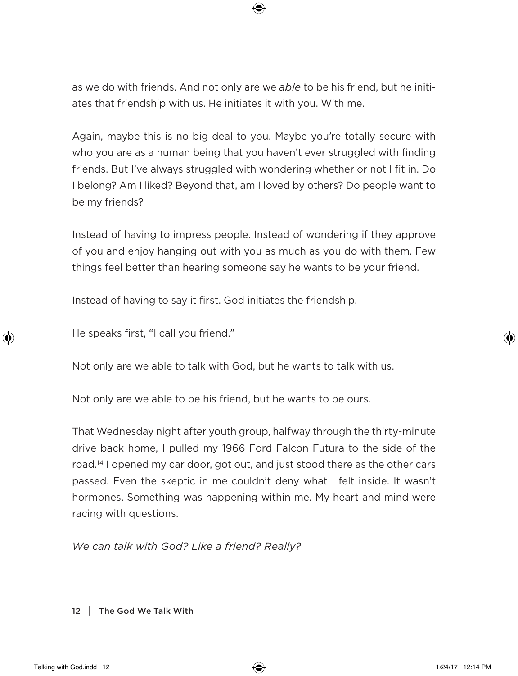as we do with friends. And not only are we *able* to be his friend, but he initiates that friendship with us. He initiates it with you. With me.

Again, maybe this is no big deal to you. Maybe you're totally secure with who you are as a human being that you haven't ever struggled with finding friends. But I've always struggled with wondering whether or not I fit in. Do I belong? Am I liked? Beyond that, am I loved by others? Do people want to be my friends?

Instead of having to impress people. Instead of wondering if they approve of you and enjoy hanging out with you as much as you do with them. Few things feel better than hearing someone say he wants to be your friend.

Instead of having to say it first. God initiates the friendship.

He speaks first, "I call you friend."

Not only are we able to talk with God, but he wants to talk with us.

Not only are we able to be his friend, but he wants to be ours.

That Wednesday night after youth group, halfway through the thirty-minute drive back home, I pulled my 1966 Ford Falcon Futura to the side of the road.14 I opened my car door, got out, and just stood there as the other cars passed. Even the skeptic in me couldn't deny what I felt inside. It wasn't hormones. Something was happening within me. My heart and mind were racing with questions.

*We can talk with God? Like a friend? Really?*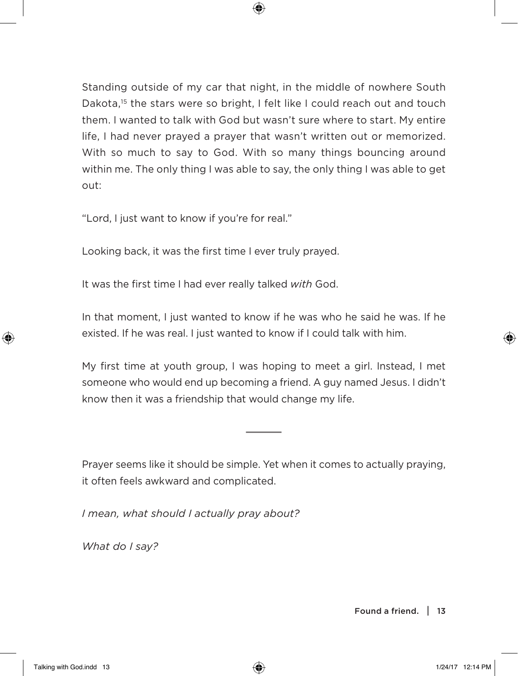Standing outside of my car that night, in the middle of nowhere South Dakota,<sup>15</sup> the stars were so bright, I felt like I could reach out and touch them. I wanted to talk with God but wasn't sure where to start. My entire life, I had never prayed a prayer that wasn't written out or memorized. With so much to say to God. With so many things bouncing around within me. The only thing I was able to say, the only thing I was able to get out:

"Lord, I just want to know if you're for real."

Looking back, it was the first time I ever truly prayed.

It was the first time I had ever really talked *with* God.

In that moment, I just wanted to know if he was who he said he was. If he existed. If he was real. I just wanted to know if I could talk with him.

My first time at youth group, I was hoping to meet a girl. Instead, I met someone who would end up becoming a friend. A guy named Jesus. I didn't know then it was a friendship that would change my life. —

Prayer seems like it should be simple. Yet when it comes to actually praying, it often feels awkward and complicated.

*I mean, what should I actually pray about?*

*What do I say?*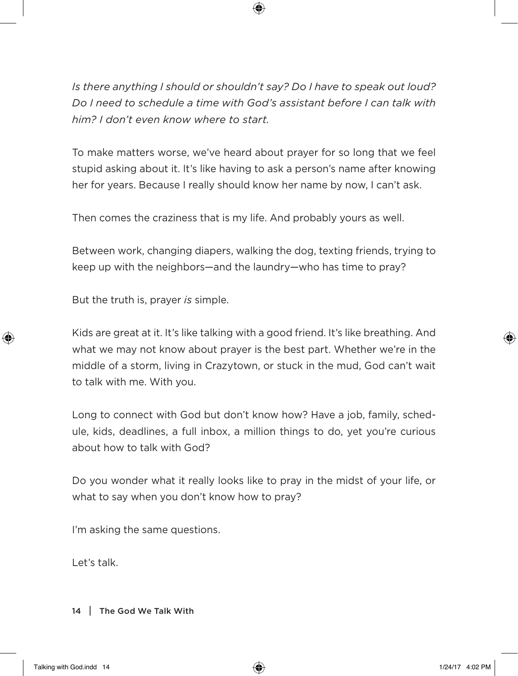*Is there anything I should or shouldn't say? Do I have to speak out loud? Do I need to schedule a time with God's assistant before I can talk with him? I don't even know where to start.*

To make matters worse, we've heard about prayer for so long that we feel stupid asking about it. It's like having to ask a person's name after knowing her for years. Because I really should know her name by now, I can't ask.

Then comes the craziness that is my life. And probably yours as well.

Between work, changing diapers, walking the dog, texting friends, trying to keep up with the neighbors—and the laundry—who has time to pray?

But the truth is, prayer *is* simple.

Kids are great at it. It's like talking with a good friend. It's like breathing. And what we may not know about prayer is the best part. Whether we're in the middle of a storm, living in Crazytown, or stuck in the mud, God can't wait to talk with me. With you.

Long to connect with God but don't know how? Have a job, family, schedule, kids, deadlines, a full inbox, a million things to do, yet you're curious about how to talk with God?

Do you wonder what it really looks like to pray in the midst of your life, or what to say when you don't know how to pray?

I'm asking the same questions.

Let's talk.